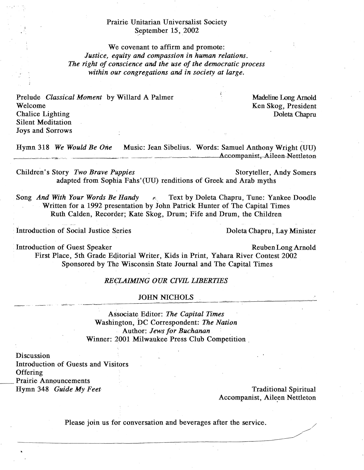## Prairie Unitarian Universalist Society September 15, 2002

We covenant to affirm and promote: *Justice, equity and compassion in human relations. The right qf conscience and the use of the democratic process within our congregations and in society at large,* 

Prelude *Classical Moment* by Willard A Palmer Welcome Chalice Lighting Silent Meditation Joys and Sorrows

Madeline Long Arnold Ken Skog, President Doleta Chapru

Hymn 318 *We Would Be* One Music: Jean Sibelius. Words: Samuel Anthony Wright (UU) Accompanist, Aileen Nettleton

Children's Story *Two Brave Puppies* Storyteller, Andy Somers adapted from Sophia Fahs' (UU) renditions of Greek and Arab myths

Song *And With Your Words Be Handy* **p. Provide** Post by Doleta Chapru, Tune: Yankee Doodle Written for a 1992 presentation by John Patrick Hunter of The Capital Times Ruth Calden, Recorder; Kate Skog, Drum; Fife and Drum, the Children

Introduction of Social Justice Series Doleta Chapru, Lay Minister

Introduction of Guest Speaker Reuben Long Arnold First Place, 5th Grade Eqitorial Writer, Kids in Print, Yahara River Contest 2002 Sponsored by The Wisconsin State Journal and The Capital Times

#### *REt;LAIMING OUR CIVIL LIBERTIES*

# JOHN NICHOLS

Associate Editor: *The Capital Times* Washington, DC Correspondent; *The Nation*  Author: *Jews for Buchanan* Winner: 2001 Milwaukee Press Club Competition.

Discussion Introduction of Guests and Visitors **Offering** Prairie Annpuncements Hymn 348 *Guide My Feet* Traditional Spiritual

Accompanist, Aileen Nettleton

..-'

Please join us for conversation and beverages after the service.

------------------------~--------------~